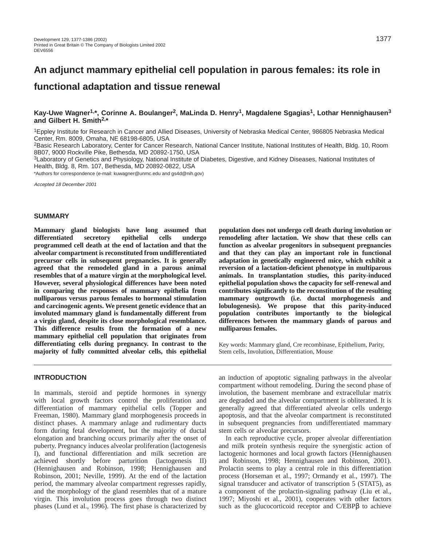# **Kay-Uwe Wagner1,\*, Corinne A. Boulanger2, MaLinda D. Henry1, Magdalene Sgagias1, Lothar Hennighausen3 and Gilbert H. Smith2,\***

1Eppley Institute for Research in Cancer and Allied Diseases, University of Nebraska Medical Center, 986805 Nebraska Medical Center, Rm. 8009, Omaha, NE 68198-6805, USA

2Basic Research Laboratory, Center for Cancer Research, National Cancer Institute, National Institutes of Health, Bldg. 10, Room 8B07, 9000 Rockville Pike, Bethesda, MD 20892-1750, USA

3Laboratory of Genetics and Physiology, National Institute of Diabetes, Digestive, and Kidney Diseases, National Institutes of Health, Bldg. 8, Rm. 107, Bethesda, MD 20892-0822, USA

\*Authors for correspondence (e-mail: kuwagner@unmc.edu and gs4d@nih.gov)

Accepted 18 December 2001

#### **SUMMARY**

**Mammary gland biologists have long assumed that differentiated secretory epithelial cells undergo programmed cell death at the end of lactation and that the alveolar compartment is reconstituted from undifferentiated precursor cells in subsequent pregnancies. It is generally agreed that the remodeled gland in a parous animal resembles that of a mature virgin at the morphological level. However, several physiological differences have been noted in comparing the responses of mammary epithelia from nulliparous versus parous females to hormonal stimulation and carcinogenic agents. We present genetic evidence that an involuted mammary gland is fundamentally different from a virgin gland, despite its close morphological resemblance. This difference results from the formation of a new mammary epithelial cell population that originates from differentiating cells during pregnancy. In contrast to the majority of fully committed alveolar cells, this epithelial**

**INTRODUCTION**

In mammals, steroid and peptide hormones in synergy with local growth factors control the proliferation and differentiation of mammary epithelial cells (Topper and Freeman, 1980). Mammary gland morphogenesis proceeds in distinct phases. A mammary anlage and rudimentary ducts form during fetal development, but the majority of ductal elongation and branching occurs primarily after the onset of puberty. Pregnancy induces alveolar proliferation (lactogenesis I), and functional differentiation and milk secretion are achieved shortly before parturition (lactogenesis II) (Hennighausen and Robinson, 1998; Hennighausen and Robinson, 2001; Neville, 1999). At the end of the lactation period, the mammary alveolar compartment regresses rapidly, and the morphology of the gland resembles that of a mature virgin. This involution process goes through two distinct phases (Lund et al., 1996). The first phase is characterized by

**population does not undergo cell death during involution or remodeling after lactation. We show that these cells can function as alveolar progenitors in subsequent pregnancies and that they can play an important role in functional adaptation in genetically engineered mice, which exhibit a reversion of a lactation-deficient phenotype in multiparous animals. In transplantation studies, this parity-induced epithelial population shows the capacity for self-renewal and contributes significantly to the reconstitution of the resulting mammary outgrowth (i.e. ductal morphogenesis and lobulogenesis). We propose that this parity-induced population contributes importantly to the biological differences between the mammary glands of parous and nulliparous females.**

Key words: Mammary gland, Cre recombinase, Epithelium, Parity, Stem cells, Involution, Differentiation, Mouse

an induction of apoptotic signaling pathways in the alveolar compartment without remodeling. During the second phase of involution, the basement membrane and extracellular matrix are degraded and the alveolar compartment is obliterated. It is generally agreed that differentiated alveolar cells undergo apoptosis, and that the alveolar compartment is reconstituted in subsequent pregnancies from undifferentiated mammary stem cells or alveolar precursors.

In each reproductive cycle, proper alveolar differentiation and milk protein synthesis require the synergistic action of lactogenic hormones and local growth factors (Hennighausen and Robinson, 1998; Hennighausen and Robinson, 2001). Prolactin seems to play a central role in this differentiation process (Horseman et al., 1997; Ormandy et al., 1997). The signal transducer and activator of transcription 5 (STAT5), as a component of the prolactin-signaling pathway (Liu et al., 1997; Miyoshi et al., 2001), cooperates with other factors such as the glucocorticoid receptor and C/EBPβ to achieve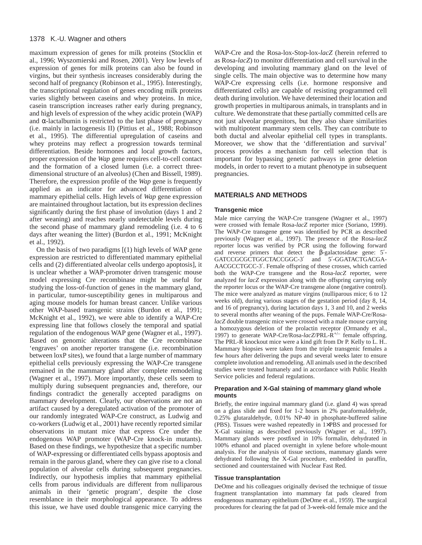maximum expression of genes for milk proteins (Stocklin et al., 1996; Wyszomierski and Rosen, 2001). Very low levels of expression of genes for milk proteins can also be found in virgins, but their synthesis increases considerably during the second half of pregnancy (Robinson et al., 1995). Interestingly, the transcriptional regulation of genes encoding milk proteins varies slightly between caseins and whey proteins. In mice, casein transcription increases rather early during pregnancy, and high levels of expression of the whey acidic protein (WAP) and  $\alpha$ -lactalbumin is restricted to the last phase of pregnancy (i.e. mainly in lactogenesis II) (Pittius et al., 1988; Robinson et al., 1995). The differential upregulation of caseins and whey proteins may reflect a progression towards terminal differentiation. Beside hormones and local growth factors, proper expression of the *Wap* gene requires cell-to-cell contact and the formation of a closed lumen (i.e. a correct threedimensional structure of an alveolus) (Chen and Bissell, 1989). Therefore, the expression profile of the *Wap* gene is frequently applied as an indicator for advanced differentiation of mammary epithelial cells. High levels of *Wap* gene expression are maintained throughout lactation, but its expression declines significantly during the first phase of involution (days 1 and 2 after weaning) and reaches nearly undetectable levels during the second phase of mammary gland remodeling (i.e. 4 to 6 days after weaning the litter) (Burdon et al., 1991; McKnight et al., 1992).

On the basis of two paradigms [(1) high levels of WAP gene expression are restricted to differentiated mammary epithelial cells and (2) differentiated alveolar cells undergo apoptosis], it is unclear whether a WAP-promoter driven transgenic mouse model expressing Cre recombinase might be useful for studying the loss-of-function of genes in the mammary gland, in particular, tumor-susceptibility genes in multiparous and aging mouse models for human breast cancer. Unlike various other WAP-based transgenic strains (Burdon et al., 1991; McKnight et al., 1992), we were able to identify a WAP-Cre expressing line that follows closely the temporal and spatial regulation of the endogenous WAP gene (Wagner et al., 1997). Based on genomic alterations that the Cre recombinase 'engraves' on another reporter transgene (i.e. recombination between loxP sites), we found that a large number of mammary epithelial cells previously expressing the WAP-Cre transgene remained in the mammary gland after complete remodeling (Wagner et al., 1997). More importantly, these cells seem to multiply during subsequent pregnancies and, therefore, our findings contradict the generally accepted paradigms on mammary development. Clearly, our observations are not an artifact caused by a deregulated activation of the promoter of our randomly integrated WAP-Cre construct, as Ludwig and co-workers (Ludwig et al., 2001) have recently reported similar observations in mutant mice that express Cre under the endogenous WAP promoter (WAP-Cre knock-in mutants). Based on these findings, we hypothesize that a specific number of WAP-expressing or differentiated cells bypass apoptosis and remain in the parous gland, where they can give rise to a clonal population of alveolar cells during subsequent pregnancies. Indirectly, our hypothesis implies that mammary epithelial cells from parous individuals are different from nulliparous animals in their 'genetic program', despite the close resemblance in their morphological appearance. To address this issue, we have used double transgenic mice carrying the

WAP-Cre and the Rosa-lox-Stop-lox-*lacZ* (herein referred to as Rosa-*lacZ*) to monitor differentiation and cell survival in the developing and involuting mammary gland on the level of single cells. The main objective was to determine how many WAP-Cre expressing cells (i.e. hormone responsive and differentiated cells) are capable of resisting programmed cell death during involution. We have determined their location and growth properties in multiparous animals, in transplants and in culture. We demonstrate that these partially committed cells are not just alveolar progenitors, but they also share similarities with multipotent mammary stem cells. They can contribute to both ductal and alveolar epithelial cell types in transplants. Moreover, we show that the 'differentiation and survival' process provides a mechanism for cell selection that is important for bypassing genetic pathways in gene deletion models, in order to revert to a mutant phenotype in subsequent pregnancies.

# **MATERIALS AND METHODS**

#### **Transgenic mice**

Male mice carrying the WAP-Cre transgene (Wagner et al., 1997) were crossed with female Rosa-*lacZ* reporter mice (Soriano, 1999). The WAP-Cre transgene gene was identified by PCR as described previously (Wagner et al., 1997). The presence of the Rosa-*lacZ* reporter locus was verified by PCR using the following forward and reverse primers that detect the β-galactosidase gene: 5′- GATCCGCGCTGGCTACCGGC-3′ and 5′-GGATACTGACGA-AACGCCTGCC-3′. Female offspring of these crosses, which carried both the WAP-Cre transgene and the Rosa-*lacZ* reporter, were analyzed for *lacZ* expression along with the offspring carrying only the reporter locus or the WAP-Cre transgene alone (negative control). The mice were analyzed as mature virgins (nulliparous mice; 6 to 12 weeks old), during various stages of the gestation period (day 8, 14, and 16 of pregnancy), during lactation days 1, 3 and 10, and 2 weeks to several months after weaning of the pups. Female WAP-Cre/Rosa*lacZ* double transgenic mice were crossed with a male mouse carrying a homozygous deletion of the prolactin receptor (Ormandy et al., 1997) to generate WAP-Cre/Rosa-*lacZ*/PRL-R<sup>+/–</sup> female offspring. The PRL-R knockout mice were a kind gift from Dr P. Kelly to L. H.. Mammary biopsies were taken from the triple transgenic females a few hours after delivering the pups and several weeks later to ensure complete involution and remodeling. All animals used in the described studies were treated humanely and in accordance with Public Health Service policies and federal regulations.

## **Preparation and X-Gal staining of mammary gland whole mounts**

Briefly, the entire inguinal mammary gland (i.e. gland 4) was spread on a glass slide and fixed for 1-2 hours in 2% paraformaldehyde, 0.25% glutaraldehyde, 0.01% NP-40 in phosphate-buffered saline (PBS). Tissues were washed repeatedly in 1×PBS and processed for X-Gal staining as described previously (Wagner et al., 1997). Mammary glands were postfixed in 10% formalin, dehydrated in 100% ethanol and placed overnight in xylene before whole-mount analysis. For the analysis of tissue sections, mammary glands were dehydrated following the X-Gal procedure, embedded in paraffin, sectioned and counterstained with Nuclear Fast Red.

#### **Tissue transplantation**

DeOme and his colleagues originally devised the technique of tissue fragment transplantation into mammary fat pads cleared from endogenous mammary epithelium (DeOme et al., 1959). The surgical procedures for clearing the fat pad of 3-week-old female mice and the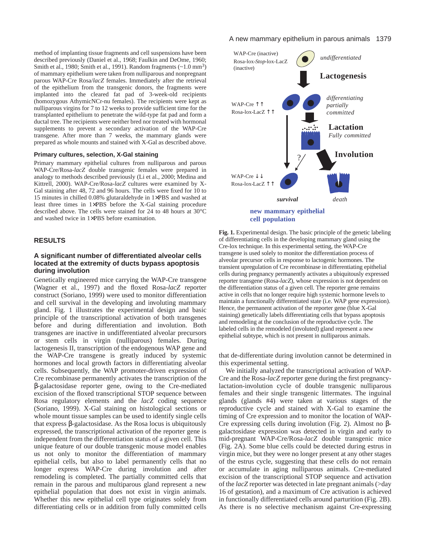method of implanting tissue fragments and cell suspensions have been described previously (Daniel et al., 1968; Faulkin and DeOme, 1960; Smith et al., 1980; Smith et al., 1991). Random fragments (~1.0 mm<sup>3</sup>) of mammary epithelium were taken from nulliparous and nonpregnant parous WAP-Cre Rosa/*lacZ* females. Immediately after the retrieval of the epithelium from the transgenic donors, the fragments were implanted into the cleared fat pad of 3-week-old recipients (homozygous AthymicNCr-nu females). The recipients were kept as nulliparous virgins for 7 to 12 weeks to provide sufficient time for the transplanted epithelium to penetrate the wild-type fat pad and form a ductal tree. The recipients were neither bred nor treated with hormonal supplements to prevent a secondary activation of the WAP-Cre transgene. After more than 7 weeks, the mammary glands were prepared as whole mounts and stained with X-Gal as described above.

## **Primary cultures, selection, X-Gal staining**

Primary mammary epithelial cultures from nulliparous and parous WAP-Cre/Rosa-*lacZ* double transgenic females were prepared in analogy to methods described previously (Li et al., 2000; Medina and Kittrell, 2000). WAP-Cre/Rosa-*lacZ* cultures were examined by X-Gal staining after 48, 72 and 96 hours. The cells were fixed for 10 to 15 minutes in chilled 0.08% glutaraldehyde in 1×PBS and washed at least three times in 1×PBS before the X-Gal staining procedure described above. The cells were stained for 24 to 48 hours at 30°C and washed twice in 1×PBS before examination.

## **RESULTS**

# **A significant number of differentiated alveolar cells located at the extremity of ducts bypass apoptosis during involution**

Genetically engineered mice carrying the WAP-Cre transgene (Wagner et al., 1997) and the floxed Rosa-*lacZ* reporter construct (Soriano, 1999) were used to monitor differentiation and cell survival in the developing and involuting mammary gland. Fig. 1 illustrates the experimental design and basic principle of the transcriptional activation of both transgenes before and during differentiation and involution. Both transgenes are inactive in undifferentiated alveolar precursors or stem cells in virgin (nulliparous) females. During lactogenesis II, transcription of the endogenous WAP gene and the WAP-Cre transgene is greatly induced by systemic hormones and local growth factors in differentiating alveolar cells. Subsequently, the WAP promoter-driven expression of Cre recombinase permanently activates the transcription of the β-galactosidase reporter gene, owing to the Cre-mediated excision of the floxed transcriptional STOP sequence between Rosa regulatory elements and the *lacZ* coding sequence (Soriano, 1999). X-Gal staining on histological sections or whole mount tissue samples can be used to identify single cells that express β-galactosidase. As the Rosa locus is ubiquitously expressed, the transcriptional activation of the reporter gene is independent from the differentiation status of a given cell. This unique feature of our double transgenic mouse model enables us not only to monitor the differentiation of mammary epithelial cells, but also to label permanently cells that no longer express WAP-Cre during involution and after remodeling is completed. The partially committed cells that remain in the parous and multiparous gland represent a new epithelial population that does not exist in virgin animals. Whether this new epithelial cell type originates solely from differentiating cells or in addition from fully committed cells

### A new mammary epithelium in parous animals 1379



**Fig. 1.** Experimental design. The basic principle of the genetic labeling of differentiating cells in the developing mammary gland using the Cre-lox technique. In this experimental setting, the WAP-Cre transgene is used solely to monitor the differentiation process of alveolar precursor cells in response to lactogenic hormones. The transient upregulation of Cre recombinase in differentiating epithelial cells during pregnancy permanently activates a ubiquitously expressed reporter transgene (Rosa-*lacZ*), whose expression is not dependent on the differentiation status of a given cell. The reporter gene remains active in cells that no longer require high systemic hormone levels to maintain a functionally differentiated state (i.e. WAP gene expression). Hence, the permanent activation of the reporter gene (blue X-Gal staining) genetically labels differentiating cells that bypass apoptosis and remodeling at the conclusion of the reproductive cycle. The labeled cells in the remodeled (involuted) gland represent a new epithelial subtype, which is not present in nulliparous animals.

that de-differentiate during involution cannot be determined in this experimental setting.

We initially analyzed the transcriptional activation of WAP-Cre and the Rosa-*lacZ* reporter gene during the first pregnancylactation-involution cycle of double transgenic nulliparous females and their single transgenic littermates. The inguinal glands (glands #4) were taken at various stages of the reproductive cycle and stained with X-Gal to examine the timing of Cre expression and to monitor the location of WAP-Cre expressing cells during involution (Fig. 2). Almost no βgalactosidase expression was detected in virgin and early to mid-pregnant WAP-Cre/Rosa-*lacZ* double transgenic mice (Fig. 2A). Some blue cells could be detected during estrus in virgin mice, but they were no longer present at any other stages of the estrus cycle, suggesting that these cells do not remain or accumulate in aging nulliparous animals. Cre-mediated excision of the transcriptional STOP sequence and activation of the *lacZ* reporter was detected in late pregnant animals (>day 16 of gestation), and a maximum of Cre activation is achieved in functionally differentiated cells around parturition (Fig. 2B). As there is no selective mechanism against Cre-expressing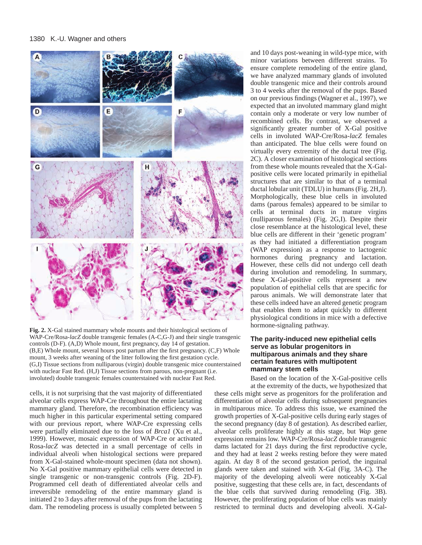

**Fig. 2.** X-Gal stained mammary whole mounts and their histological sections of WAP-Cre/Rosa-*lacZ* double transgenic females (A-C,G-J) and their single transgenic controls (D-F). (A,D) Whole mount, first pregnancy, day 14 of gestation. (B,E) Whole mount, several hours post partum after the first pregnancy. (C,F) Whole mount, 3 weeks after weaning of the litter following the first gestation cycle. (G,I) Tissue sections from nulliparous (virgin) double transgenic mice counterstained with nuclear Fast Red. (H,J) Tissue sections from parous, non-pregnant (i.e. involuted) double transgenic females counterstained with nuclear Fast Red.

cells, it is not surprising that the vast majority of differentiated alveolar cells express WAP-Cre throughout the entire lactating mammary gland. Therefore, the recombination efficiency was much higher in this particular experimental setting compared with our previous report, where WAP-Cre expressing cells were partially eliminated due to the loss of *Brca1* (Xu et al., 1999). However, mosaic expression of WAP-Cre or activated Rosa-*lacZ* was detected in a small percentage of cells in individual alveoli when histological sections were prepared from X-Gal-stained whole-mount specimen (data not shown). No X-Gal positive mammary epithelial cells were detected in single transgenic or non-transgenic controls (Fig. 2D-F). Programmed cell death of differentiated alveolar cells and irreversible remodeling of the entire mammary gland is initiated 2 to 3 days after removal of the pups from the lactating dam. The remodeling process is usually completed between 5 and 10 days post-weaning in wild-type mice, with minor variations between different strains. To ensure complete remodeling of the entire gland, we have analyzed mammary glands of involuted double transgenic mice and their controls around 3 to 4 weeks after the removal of the pups. Based on our previous findings (Wagner et al., 1997), we expected that an involuted mammary gland might contain only a moderate or very low number of recombined cells. By contrast, we observed a significantly greater number of X-Gal positive cells in involuted WAP-Cre/Rosa-*lacZ* females than anticipated. The blue cells were found on virtually every extremity of the ductal tree (Fig. 2C). A closer examination of histological sections from these whole mounts revealed that the X-Galpositive cells were located primarily in epithelial structures that are similar to that of a terminal ductal lobular unit (TDLU) in humans (Fig. 2H,J). Morphologically, these blue cells in involuted dams (parous females) appeared to be similar to cells at terminal ducts in mature virgins (nulliparous females) (Fig. 2G,I). Despite their close resemblance at the histological level, these blue cells are different in their 'genetic program' as they had initiated a differentiation program (WAP expression) as a response to lactogenic hormones during pregnancy and lactation. However, these cells did not undergo cell death during involution and remodeling. In summary, these X-Gal-positive cells represent a new population of epithelial cells that are specific for parous animals. We will demonstrate later that these cells indeed have an altered genetic program that enables them to adapt quickly to different physiological conditions in mice with a defective hormone-signaling pathway.

# **The parity-induced new epithelial cells serve as lobular progenitors in multiparous animals and they share certain features with multipotent mammary stem cells**

Based on the location of the X-Gal-positive cells at the extremity of the ducts, we hypothesized that

these cells might serve as progenitors for the proliferation and differentiation of alveolar cells during subsequent pregnancies in multiparous mice. To address this issue, we examined the growth properties of X-Gal-positive cells during early stages of the second pregnancy (day 8 of gestation). As described earlier, alveolar cells proliferate highly at this stage, but *Wap* gene expression remains low. WAP-Cre/Rosa-*lacZ* double transgenic dams lactated for 21 days during the first reproductive cycle, and they had at least 2 weeks resting before they were mated again. At day 8 of the second gestation period, the inguinal glands were taken and stained with X-Gal (Fig. 3A-C). The majority of the developing alveoli were noticeably X-Gal positive, suggesting that these cells are, in fact, descendants of the blue cells that survived during remodeling (Fig. 3B). However, the proliferating population of blue cells was mainly restricted to terminal ducts and developing alveoli. X-Gal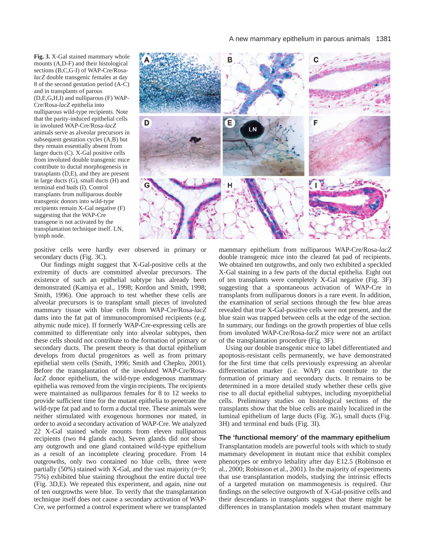**Fig. 3.** X-Gal stained mammary whole mounts (A,D-F) and their histological sections (B,C,G-I) of WAP-Cre/Rosa*lacZ* double transgenic females at day 8 of the second gestation period (A-C) and in transplants of parous (D,E,G,H,I) and nulliparous (F) WAP-Cre/Rosa-*lacZ* epithelia into nulliparous wild-type recipients. Note that the parity-induced epithelial cells in involuted WAP-Cre/Rosa-*lacZ* animals serve as alveolar precursors in subsequent gestation cycles (A,B) but they remain essentially absent from larger ducts (C). X-Gal positive cells from involuted double transgenic mice contribute to ductal morphogenesis in transplants (D,E), and they are present in large ducts (G), small ducts (H) and terminal end buds (I). Control transplants from nulliparous double transgenic donors into wild-type recipients remain X-Gal negative (F) suggesting that the WAP-Cre transgene is not activated by the transplantation technique itself. LN, lymph node.



positive cells were hardly ever observed in primary or secondary ducts (Fig. 3C).

Our findings might suggest that X-Gal-positive cells at the extremity of ducts are committed alveolar precursors. The existence of such an epithelial subtype has already been demonstrated (Kamiya et al., 1998; Kordon and Smith, 1998; Smith, 1996). One approach to test whether these cells are alveolar precursors is to transplant small pieces of involuted mammary tissue with blue cells from WAP-Cre/Rosa-*lacZ* dams into the fat pat of immunocompromised recipients (e.g. athymic nude mice). If formerly WAP-Cre-expressing cells are committed to differentiate only into alveolar subtypes, then these cells should not contribute to the formation of primary or secondary ducts. The present theory is that ductal epithelium develops from ductal progenitors as well as from primary epithelial stem cells (Smith, 1996; Smith and Chepko, 2001). Before the transplantation of the involuted WAP-Cre/Rosa*lacZ* donor epithelium, the wild-type endogenous mammary epithelia was removed from the virgin recipients. The recipients were maintained as nulliparous females for 8 to 12 weeks to provide sufficient time for the mutant epithelia to penetrate the wild-type fat pad and to form a ductal tree. These animals were neither stimulated with exogenous hormones nor mated, in order to avoid a secondary activation of WAP-Cre. We analyzed 22 X-Gal stained whole mounts from eleven nulliparous recipients (two #4 glands each). Seven glands did not show any outgrowth and one gland contained wild-type epithelium as a result of an incomplete clearing procedure. From 14 outgrowths, only two contained no blue cells, three were partially (50%) stained with X-Gal, and the vast majority (*n*=9; 75%) exhibited blue staining throughout the entire ductal tree (Fig. 3D,E). We repeated this experiment, and again, nine out of ten outgrowths were blue. To verify that the transplantation technique itself does not cause a secondary activation of WAP-Cre, we performed a control experiment where we transplanted mammary epithelium from nulliparous WAP-Cre/Rosa-*lacZ* double transgenic mice into the cleared fat pad of recipients. We obtained ten outgrowths, and only two exhibited a speckled X-Gal staining in a few parts of the ductal epithelia. Eight out of ten transplants were completely X-Gal negative (Fig. 3F) suggesting that a spontaneous activation of WAP-Cre in transplants from nulliparous donors is a rare event. In addition, the examination of serial sections through the few blue areas revealed that true X-Gal-positive cells were not present, and the blue stain was trapped between cells at the edge of the section. In summary, our findings on the growth properties of blue cells from involuted WAP-Cre/Rosa-*lacZ* mice were not an artifact of the transplantation procedure (Fig. 3F).

Using our double transgenic mice to label differentiated and apoptosis-resistant cells permanently, we have demonstrated for the first time that cells previously expressing an alveolar differentiation marker (i.e. WAP) can contribute to the formation of primary and secondary ducts. It remains to be determined in a more detailed study whether these cells give rise to all ductal epithelial subtypes, including myoepithelial cells. Preliminary studies on histological sections of the transplants show that the blue cells are mainly localized in the luminal epithelium of large ducts (Fig. 3G), small ducts (Fig. 3H) and terminal end buds (Fig. 3I).

# **The 'functional memory' of the mammary epithelium**

Transplantation models are powerful tools with which to study mammary development in mutant mice that exhibit complex phenotypes or embryo lethality after day E12.5 (Robinson et al., 2000; Robinson et al., 2001). In the majority of experiments that use transplantation models, studying the intrinsic effects of a targeted mutation on mammogenesis is required. Our findings on the selective outgrowth of X-Gal-positive cells and their descendants in transplants suggest that there might be differences in transplantation models when mutant mammary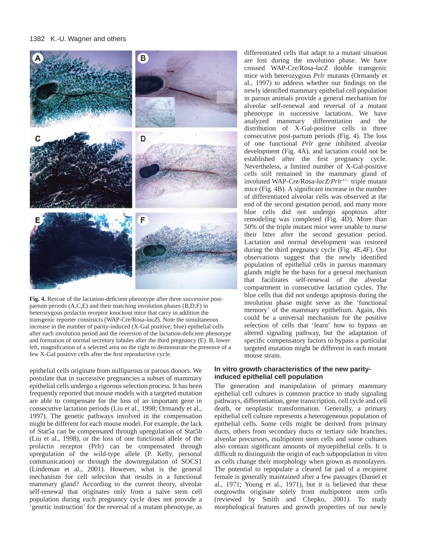

**Fig. 4.** Rescue of the lactation-deficient phenotype after three successive postpartum periods (A,C,E) and their matching involution phases (B,D,F) in heterozygous prolactin receptor knockout mice that carry in addition the transgenic reporter constructs (WAP-Cre/Rosa-*lacZ*). Note the simultaneous increase in the number of parity-induced (X-Gal positive; blue) epithelial cells after each involution period and the reversion of the lactation-deficient phenotype and formation of normal secretory lobules after the third pregnancy (E). B, lower left, magnification of a selected area on the right to demonstrate the presence of a few X-Gal positive cells after the first reproductive cycle.

epithelial cells originate from nulliparous or parous donors. We postulate that in successive pregnancies a subset of mammary epithelial cells undergo a rigorous selection process. It has been frequently reported that mouse models with a targeted mutation are able to compensate for the loss of an important gene in consecutive lactation periods (Liu et al., 1998; Ormandy et al., 1997). The genetic pathways involved in the compensation might be different for each mouse model. For example, the lack of Stat5a can be compensated through upregulation of Stat5b (Liu et al., 1998), or the loss of one functional allele of the prolactin receptor (Prlr) can be compensated through upregulation of the wild-type allele (P. Kelly, personal communication) or through the downregulation of SOCS1 (Lindeman et al., 2001). However, what is the general mechanism for cell selection that results in a functional mammary gland? According to the current theory, alveolar self-renewal that originates only from a naïve stem cell population during each pregnancy cycle does not provide a 'genetic instruction' for the reversal of a mutant phenotype, as differentiated cells that adapt to a mutant situation are lost during the involution phase. We have crossed WAP-Cre/Rosa-*lacZ* double transgenic mice with heterozygous *Prlr* mutants (Ormandy et al., 1997) to address whether our findings on the newly identified mammary epithelial cell population in parous animals provide a general mechanism for alveolar self-renewal and reversal of a mutant phenotype in successive lactations. We have analyzed mammary differentiation and the distribution of X-Gal-positive cells in three consecutive post-partum periods (Fig. 4). The loss of one functional *Prlr* gene inhibited alveolar development (Fig. 4A), and lactation could not be established after the first pregnancy cycle. Nevertheless, a limited number of X-Gal-positive cells still remained in the mammary gland of involuted WAP-Cre/Rosa-*lacZ*/*Prlr*+/– triple mutant mice (Fig. 4B). A significant increase in the number of differentiated alveolar cells was observed at the end of the second gestation period, and many more blue cells did not undergo apoptosis after remodeling was completed (Fig. 4D). More than 50% of the triple mutant mice were unable to nurse their litter after the second gestation period. Lactation and normal development was restored during the third pregnancy cycle (Fig. 4E,4F). Our observations suggest that the newly identified population of epithelial cells in parous mammary glands might be the basis for a general mechanism that facilitates self-renewal of the alveolar compartment in consecutive lactation cycles. The blue cells that did not undergo apoptosis during the involution phase might serve as the 'functional memory' of the mammary epithelium. Again, this could be a universal mechanism for the positive selection of cells that 'learn' how to bypass an altered signaling pathway, but the adaptation of specific compensatory factors to bypass a particular targeted mutation might be different in each mutant mouse strain.

# **In vitro growth characteristics of the new parityinduced epithelial cell population**

The generation and manipulation of primary mammary epithelial cell cultures is common practice to study signaling pathways, differentiation, gene transcription, cell cycle and cell death, or neoplastic transformation. Generally, a primary epithelial cell culture represents a heterogeneous population of epithelial cells. Some cells might be derived from primary ducts, others from secondary ducts or tertiary side branches, alveolar precursors, multipotent stem cells and some cultures also contain significant amounts of myoepithelial cells. It is difficult to distinguish the origin of each subpopulation in vitro as cells change their morphology when grown as monolayers. The potential to repopulate a cleared fat pad of a recipient female is generally maintained after a few passages (Daniel et al., 1971; Young et al., 1971), but it is believed that these outgrowths originate solely from multipotent stem cells (reviewed by Smith and Chepko, 2001). To study morphological features and growth properties of our newly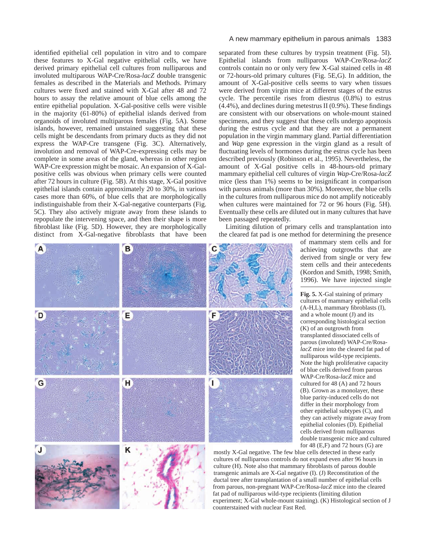identified epithelial cell population in vitro and to compare these features to X-Gal negative epithelial cells, we have derived primary epithelial cell cultures from nulliparous and involuted multiparous WAP-Cre/Rosa-*lacZ* double transgenic females as described in the Materials and Methods. Primary cultures were fixed and stained with X-Gal after 48 and 72 hours to assay the relative amount of blue cells among the entire epithelial population. X-Gal-positive cells were visible in the majority (61-80%) of epithelial islands derived from organoids of involuted multiparous females (Fig. 5A). Some islands, however, remained unstained suggesting that these cells might be descendants from primary ducts as they did not express the WAP-Cre transgene (Fig. 3C). Alternatively, involution and removal of WAP-Cre-expressing cells may be complete in some areas of the gland, whereas in other region WAP-Cre expression might be mosaic. An expansion of X-Galpositive cells was obvious when primary cells were counted after 72 hours in culture (Fig. 5B). At this stage, X-Gal positive epithelial islands contain approximately 20 to 30%, in various cases more than 60%, of blue cells that are morphologically indistinguishable from their X-Gal-negative counterparts (Fig. 5C). They also actively migrate away from these islands to repopulate the intervening space, and then their shape is more fibroblast like (Fig. 5D). However, they are morphologically distinct from X-Gal-negative fibroblasts that have been

#### A new mammary epithelium in parous animals 1383

separated from these cultures by trypsin treatment (Fig. 5I). Epithelial islands from nulliparous WAP-Cre/Rosa-*lacZ* controls contain no or only very few X-Gal stained cells in 48 or 72-hours-old primary cultures (Fig. 5E,G). In addition, the amount of X-Gal-positive cells seems to vary when tissues were derived from virgin mice at different stages of the estrus cycle. The percentile rises from diestrus (0.8%) to estrus (4.4%), and declines during metestrus II (0.9%). These findings are consistent with our observations on whole-mount stained specimens, and they suggest that these cells undergo apoptosis during the estrus cycle and that they are not a permanent population in the virgin mammary gland. Partial differentiation and *Wap* gene expression in the virgin gland as a result of fluctuating levels of hormones during the estrus cycle has been described previously (Robinson et al., 1995). Nevertheless, the amount of X-Gal positive cells in 48-hours-old primary mammary epithelial cell cultures of virgin *Wap*-Cre/Rosa-*lacZ* mice (less than 1%) seems to be insignificant in comparison with parous animals (more than 30%). Moreover, the blue cells in the cultures from nulliparous mice do not amplify noticeably when cultures were maintained for 72 or 96 hours (Fig. 5H). Eventually these cells are diluted out in many cultures that have been passaged repeatedly.

Limiting dilution of primary cells and transplantation into the cleared fat pad is one method for determining the presence



of mammary stem cells and for achieving outgrowths that are derived from single or very few stem cells and their antecedents (Kordon and Smith, 1998; Smith, 1996). We have injected single

**Fig. 5.** X-Gal staining of primary cultures of mammary epithelial cells (A-H,L), mammary fibroblasts (I), and a whole mount (J) and its corresponding histological section (K) of an outgrowth from transplanted dissociated cells of parous (involuted) WAP-Cre/Rosa*lacZ* mice into the cleared fat pad of nulliparous wild-type recipients. Note the high proliferative capacity of blue cells derived from parous WAP-Cre/Rosa-*lacZ* mice and cultured for 48 (A) and 72 hours (B). Grown as a monolayer, these blue parity-induced cells do not differ in their morphology from other epithelial subtypes (C), and they can actively migrate away from epithelial colonies (D). Epithelial cells derived from nulliparous double transgenic mice and cultured for 48 (E,F) and 72 hours (G) are

mostly X-Gal negative. The few blue cells detected in these early cultures of nulliparous controls do not expand even after 96 hours in culture (H). Note also that mammary fibroblasts of parous double transgenic animals are X-Gal negative (I). (J) Reconstitution of the ductal tree after transplantation of a small number of epithelial cells from parous, non-pregnant WAP-Cre/Rosa-*lacZ* mice into the cleared fat pad of nulliparous wild-type recipients (limiting dilution experiment; X-Gal whole-mount staining). (K) Histological section of J counterstained with nuclear Fast Red.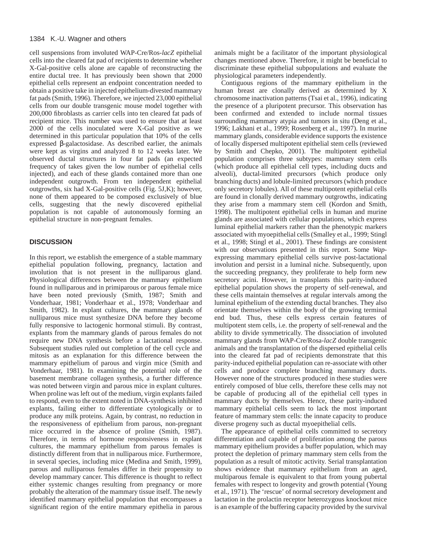cell suspensions from involuted WAP-Cre/Ros-*lacZ* epithelial cells into the cleared fat pad of recipients to determine whether X-Gal-positive cells alone are capable of reconstructing the entire ductal tree. It has previously been shown that 2000 epithelial cells represent an endpoint concentration needed to obtain a positive take in injected epithelium-divested mammary fat pads (Smith, 1996). Therefore, we injected 23,000 epithelial cells from our double transgenic mouse model together with 200,000 fibroblasts as carrier cells into ten cleared fat pads of recipient mice. This number was used to ensure that at least 2000 of the cells inoculated were X-Gal positive as we determined in this particular population that 10% of the cells expressed β-galactosidase. As described earlier, the animals were kept as virgins and analyzed 8 to 12 weeks later. We observed ductal structures in four fat pads (an expected frequency of takes given the low number of epithelial cells injected), and each of these glands contained more than one independent outgrowth. From ten independent epithelial outgrowths, six had X-Gal-positive cells (Fig. 5J,K); however, none of them appeared to be composed exclusively of blue cells, suggesting that the newly discovered epithelial population is not capable of autonomously forming an epithelial structure in non-pregnant females.

# **DISCUSSION**

In this report, we establish the emergence of a stable mammary epithelial population following, pregnancy, lactation and involution that is not present in the nulliparous gland. Physiological differences between the mammary epithelium found in nulliparous and in primiparous or parous female mice have been noted previously (Smith, 1987; Smith and Vonderhaar, 1981; Vonderhaar et al., 1978; Vonderhaar and Smith, 1982). In explant cultures, the mammary glands of nulliparous mice must synthesize DNA before they become fully responsive to lactogenic hormonal stimuli. By contrast, explants from the mammary glands of parous females do not require new DNA synthesis before a lactational response. Subsequent studies ruled out completion of the cell cycle and mitosis as an explanation for this difference between the mammary epithelium of parous and virgin mice (Smith and Vonderhaar, 1981). In examining the potential role of the basement membrane collagen synthesis, a further difference was noted between virgin and parous mice in explant cultures. When proline was left out of the medium, virgin explants failed to respond, even to the extent noted in DNA-synthesis inhibited explants, failing either to differentiate cytologically or to produce any milk proteins. Again, by contrast, no reduction in the responsiveness of epithelium from parous, non-pregnant mice occurred in the absence of proline (Smith, 1987). Therefore, in terms of hormone responsiveness in explant cultures, the mammary epithelium from parous females is distinctly different from that in nulliparous mice. Furthermore, in several species, including mice (Medina and Smith, 1999), parous and nulliparous females differ in their propensity to develop mammary cancer. This difference is thought to reflect either systemic changes resulting from pregnancy or more probably the alteration of the mammary tissue itself. The newly identified mammary epithelial population that encompasses a significant region of the entire mammary epithelia in parous

animals might be a facilitator of the important physiological changes mentioned above. Therefore, it might be beneficial to discriminate these epithelial subpopulations and evaluate the physiological parameters independently.

Contiguous regions of the mammary epithelium in the human breast are clonally derived as determined by X chromosome inactivation patterns (Tsai et al., 1996), indicating the presence of a pluripotent precursor. This observation has been confirmed and extended to include normal tissues surrounding mammary atypia and tumors in situ (Deng et al., 1996; Lakhani et al., 1999; Rosenberg et al., 1997). In murine mammary glands, considerable evidence supports the existence of locally dispersed multipotent epithelial stem cells (reviewed by Smith and Chepko, 2001). The multipotent epithelial population comprises three subtypes: mammary stem cells (which produce all epithelial cell types, including ducts and alveoli), ductal-limited precursors (which produce only branching ducts) and lobule-limited precursors (which produce only secretory lobules). All of these multipotent epithelial cells are found in clonally derived mammary outgrowths, indicating they arise from a mammary stem cell (Kordon and Smith, 1998). The multipotent epithelial cells in human and murine glands are associated with cellular populations, which express luminal epithelial markers rather than the phenotypic markers associated with myoepithelial cells (Smalley et al., 1999; Stingl et al., 1998; Stingl et al., 2001). These findings are consistent with our observations presented in this report. Some *Wap*expressing mammary epithelial cells survive post-lactational involution and persist in a luminal niche. Subsequently, upon the succeeding pregnancy, they proliferate to help form new secretory acini. However, in transplants this parity-induced epithelial population shows the property of self-renewal, and these cells maintain themselves at regular intervals among the luminal epithelium of the extending ductal branches. They also orientate themselves within the body of the growing terminal end bud. Thus, these cells express certain features of multipotent stem cells, i.e. the property of self-renewal and the ability to divide symmetrically. The dissociation of involuted mammary glands from WAP-Cre/Rosa-*lacZ* double transgenic animals and the transplantation of the dispersed epithelial cells into the cleared fat pad of recipients demonstrate that this parity-induced epithelial population can re-associate with other cells and produce complete branching mammary ducts. However none of the structures produced in these studies were entirely composed of blue cells, therefore these cells may not be capable of producing all of the epithelial cell types in mammary ducts by themselves. Hence, these parity-induced mammary epithelial cells seem to lack the most important feature of mammary stem cells: the innate capacity to produce diverse progeny such as ductal myoepithelial cells.

The appearance of epithelial cells committed to secretory differentiation and capable of proliferation among the parous mammary epithelium provides a buffer population, which may protect the depletion of primary mammary stem cells from the population as a result of mitotic activity. Serial transplantation shows evidence that mammary epithelium from an aged, multiparous female is equivalent to that from young pubertal females with respect to longevity and growth potential (Young et al., 1971). The 'rescue' of normal secretory development and lactation in the prolactin receptor heterozygous knockout mice is an example of the buffering capacity provided by the survival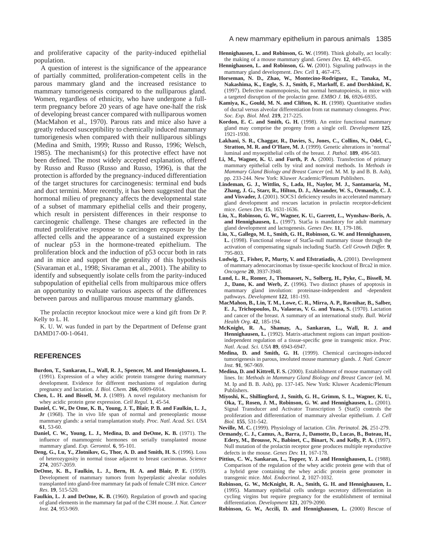and proliferative capacity of the parity-induced epithelial population.

A question of interest is the significance of the appearance of partially committed, proliferation-competent cells in the parous mammary gland and the increased resistance to mammary tumorigenesis compared to the nulliparous gland. Women, regardless of ethnicity, who have undergone a fullterm pregnancy before 20 years of age have one-half the risk of developing breast cancer compared with nulliparous women (MacMahon et al., 1970). Parous rats and mice also have a greatly reduced susceptibility to chemically induced mammary tumorigenesis when compared with their nulliparous siblings (Medina and Smith, 1999; Russo and Russo, 1996; Welsch, 1985). The mechanism(s) for this protective effect have not been defined. The most widely accepted explanation, offered by Russo and Russo (Russo and Russo, 1996), is that the protection is afforded by the pregnancy-induced differentiation of the target structures for carcinogenesis: terminal end buds and duct termini. More recently, it has been suggested that the hormonal milieu of pregnancy affects the developmental state of a subset of mammary epithelial cells and their progeny, which result in persistent differences in their response to carcinogenic challenge. These changes are reflected in the muted proliferative response to carcinogen exposure by the affected cells and the appearance of a sustained expression of nuclear p53 in the hormone-treated epithelium. The proliferation block and the induction of p53 occur both in rats and in mice and support the generality of this hypothesis (Sivaraman et al., 1998; Sivaraman et al., 2001). The ability to identify and subsequently isolate cells from the parity-induced subpopulation of epithelial cells from multiparous mice offers an opportunity to evaluate various aspects of the differences between parous and nulliparous mouse mammary glands.

The prolactin receptor knockout mice were a kind gift from Dr P. Kelly to L. H.

K. U. W. was funded in part by the Department of Defense grant DAMD17-00-1-0641.

## **REFERENCES**

- **Burdon, T., Sankaran, L., Wall, R. J., Spencer, M. and Hennighausen, L.** (1991). Expression of a whey acidic protein transgene during mammary development. Evidence for different mechanisms of regulation during pregnancy and lactation. *J. Biol. Chem.* **266**, 6909-6914.
- **Chen, L. H. and Bissell, M. J.** (1989). A novel regulatory mechanism for whey acidic protein gene expression. *Cell Regul.* **1**, 45-54.
- **Daniel, C. W., De Ome, K. B., Young, J. T., Blair, P. B. and Faulkin, L. J., Jr** (1968). The in vivo life span of normal and preneoplastic mouse mammary glands: a serial transplantation study. *Proc. Natl. Acad. Sci. USA* **61**, 53-60.
- **Daniel, C. W., Young, L. J., Medina, D. and DeOme, K. B.** (1971). The influence of mammogenic hormones on serially transplanted mouse mammary gland. *Exp. Gerontol.* **6**, 95-101.
- **Deng, G., Lu, Y., Zlotnikov, G., Thor, A. D. and Smith, H. S.** (1996). Loss of heterozygosity in normal tissue adjacent to breast carcinomas. *Science* **274**, 2057-2059.
- **DeOme, K. B., Faulkin, L. J., Bern, H. A. and Blair, P. E.** (1959). Development of mammary tumors from hyperplastic alveolar nodules transplanted into gland-free mammary fat pads of female C3H mice. *Cancer Res*. **19**, 515-520.
- **Faulkin, L. J. and DeOme, K. B.** (1960). Regulation of growth and spacing of gland elements in the mammary fat pad of the C3H mouse. *J. Nat. Cancer Inst.* **24**, 953-969.
- **Hennighausen, L. and Robinson, G. W.** (1998). Think globally, act locally: the making of a mouse mammary gland. *Genes Dev.* **12**, 449-455.
- **Hennighausen, L. and Robinson, G. W.** (2001). Signaling pathways in the mammary gland development. *Dev. Cell* **1**, 467-475.
- **Horseman, N. D., Zhao, W., Montecino-Rodriguez, E., Tanaka, M., Nakashima, K., Engle, S. J., Smith, F., Markoff, E. and Dorshkind, K.** (1997). Defective mammopoiesis, but normal hematopoiesis, in mice with a targeted disruption of the prolactin gene. *EMBO J.* **16**, 6926-6935.
- **Kamiya, K., Gould, M. N. and Clifton, K. H.** (1998). Quantitative studies of ductal versus alveolar differentiation from rat mammary clonogens. *Proc. Soc. Exp. Biol. Med.* **219**, 217-225.
- **Kordon, E. C. and Smith, G. H.** (1998). An entire functional mammary gland may comprise the progeny from a single cell. *Development* **125**, 1921-1930.
- **Lakhani, S. R., Chaggar, R., Davies, S., Jones, C., Collins, N., Odel, C., Stratton, M. R. and O'Hare, M. J.** (1999). Genetic alterations in 'normal' luminal and myoepithelial cells of the breast. *J. Pathol.* **189**, 496-503.
- **Li, M., Wagner, K. U. and Furth, P. A.** (2000). Transfection of primary mammary epithelial cells by viral and nonviral methods. In *Methods in Mammary Gland Biology and Breast Cancer* (ed. M. M. Ip and B. B. Ash), pp. 233-244. New York: Kluwer Academic/Plenum Publishers.
- **Lindeman, G. J., Wittlin, S., Lada, H., Naylor, M. J., Santamaria, M., Zhang, J. G., Starr, R., Hilton, D. J., Alexander, W. S., Ormandy, C. J. and Visvader, J.** (2001). SOCS1 deficiency results in accelerated mammary gland development and rescues lactation in prolactin receptor-deficient mice. *Genes Dev.* **15**, 1631-1636.
- **Liu, X., Robinson, G. W., Wagner, K. U., Garrett, L., Wynshaw-Boris, A.** and Hennighausen, L. (1997). Stat5a is mandatory for adult mammary gland development and lactogenesis. *Genes Dev.* **11**, 179-186.
- **Liu, X., Gallego, M. I., Smith, G. H., Robinson, G. W. and Hennighausen, L.** (1998). Functional release of Stat5a-null mammary tissue through the activation of compensating signals including Stat5b. *Cell Growth Differ.* **9**, 795-803.
- **Ludwig, T., Fisher, P., Murty, V. and Efstratiadis, A.** (2001). Development of mammary adenocarcinomas by tissue-specific knockout of Brca2 in mice. *Oncogene* **20**, 3937-3948.
- **Lund, L. R., Romer, J., Thomasset, N., Solberg, H., Pyke, C., Bissell, M. J., Dano, K. and Werb, Z.** (1996). Two distinct phases of apoptosis in mammary gland involution: proteinase-independent and -dependent pathways. *Development* **122**, 181-193.
- **MacMahon, B., Lin, T. M., Lowe, C. R., Mirra, A. P., Ravnihar, B., Salber, E. J., Trichopoulos, D., Valaoras, V. G. and Yuasa, S.** (1970). Lactation and cancer of the breast. A summary of an international study. *Bull. World Health Org*. **42**, 185-194.
- **McKnight, R. A., Shamay, A., Sankaran, L., Wall, R. J. and Hennighausen, L.** (1992). Matrix-attachment regions can impart positionindependent regulation of a tissue-specific gene in transgenic mice. *Proc. Natl. Acad. Sci. USA* **89**, 6943-6947.
- **Medina, D. and Smith, G. H.** (1999). Chemical carcinogen-induced tumorigenesis in parous, involuted mouse mammary glands. *J. Natl. Cancer Inst.* **91**, 967-969.
- **Medina, D. and Kittrell, F. S.** (2000). Establishment of mouse mammary cell lines. In: *Methods in Mammary Gland Biology and Breast Cancer* (ed. M. M. Ip and B. B. Ash), pp. 137-145. New York: Kluwer Academic/Plenum Publishers.
- **Miyoshi, K., Shillingford, J., Smith, G. H., Grimm, S. L., Wagner, K. U., Oka, T., Rosen, J. M., Robinson, G. W. and Hennighausen, L.** (2001). Signal Transducer and Activator Transcription 5 (Stat5) controls the proliferation and differentiation of mammary alveolar epithelium. *J. Cell Biol.* **155**, 531-542.
- **Neville, M. C.** (1999). Physiology of lactation. *Clin. Perinatol.* **26**, 251-279.
- **Ormandy, C. J., Camus, A., Barra, J., Damotte, D., Lucas, B., Buteau, H., Edery, M., Brousse, N., Babinet, C., Binart, N. and Kelly, P. A.** (1997). Null mutation of the prolactin receptor gene produces multiple reproductive defects in the mouse. *Genes Dev.* **11**, 167-178.
- **Pittius, C. W., Sankaran, L., Topper, Y. J. and Hennighausen, L.** (1988). Comparison of the regulation of the whey acidic protein gene with that of a hybrid gene containing the whey acidic protein gene promoter in transgenic mice. *Mol. Endocrinol.* **2**, 1027-1032.
- **Robinson, G. W., McKnight, R. A., Smith, G. H. and Hennighausen, L.** (1995). Mammary epithelial cells undergo secretory differentiation in cycling virgins but require pregnancy for the establishment of terminal differentiation. *Development* **121**, 2079-2090.
- **Robinson, G. W., Accili, D. and Hennighausen, L.** (2000) Rescue of